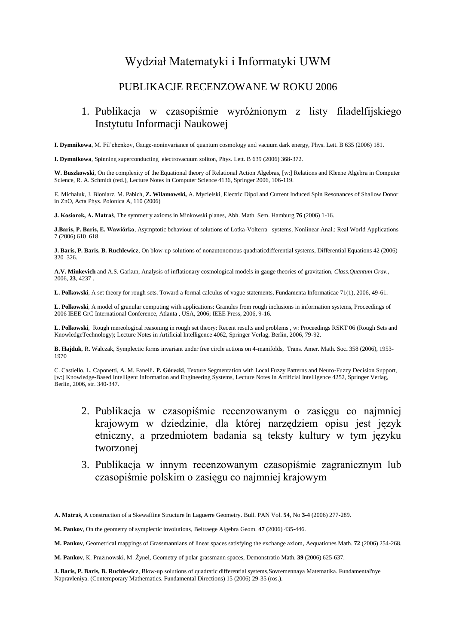# Wydział Matematyki i Informatyki UWM

### PUBLIKACJE RECENZOWANE W ROKU 2006

### 1. Publikacja w czasopiśmie wyróżnionym z listy filadelfijskiego Instytutu Informacji Naukowej

**I. Dymnikowa**, M. Fil'chenkov, Gauge-noninvariance of quantum cosmology and vacuum dark energy, Phys. Lett. B 635 (2006) 181.

**I. Dymnikowa**, Spinning superconducting electrovacuum soliton, Phys. Lett. B 639 (2006) 368-372.

**W. Buszkowski**, On the complexity of the Equational theory of Relational Action Algebras, [w:] Relations and Kleene Algebra in Computer Science, R. A. Schmidt (red.), Lecture Notes in Computer Science 4136, Springer 2006, 106-119.

E. Michaluk, J. Bloniarz, M. Pabich, **Z. Wilamowski,** A. Mycielski, Electric Dipol and Current Induced Spin Resonances of Shallow Donor in ZnO, Acta Phys. Polonica A, 110 (2006)

**J. Kosiorek, A. Matraś**, The symmetry axioms in Minkowski planes, Abh. Math. Sem. Hamburg **76** (2006) 1-16.

**J.Baris, P. Baris, E. Wawiórko**, Asymptotic behaviour of solutions of Lotka-Volterra systems, Nonlinear Anal.: Real World Applications 7 (2006) 610\_618.

**J. Baris, P. Baris, B. Ruchlewicz**, On blow-up solutions of nonautonomous quadraticdifferential systems, Differential Equations 42 (2006) 320\_326.

**A.V. Minkevich** and A.S. Garkun, Analysis of inflationary cosmological models in gauge theories of gravitation, *Class.Quantum Grav.*, 2006, **23**, 4237 .

**L. Polkowski**, A set theory for rough sets. Toward a formal calculus of vague statements, Fundamenta Informaticae 71(1), 2006, 49-61.

**L. Polkowski**, A model of granular computing with applications: Granules from rough inclusions in information systems, Proceedings of 2006 IEEE GrC International Conference, Atlanta , USA, 2006; IEEE Press, 2006, 9-16.

**L. Polkowski**, Rough mereological reasoning in rough set theory: Recent results and problems , w: Proceedings RSKT 06 (Rough Sets and KnowledgeTechnology); Lecture Notes in Artificial Intelligence 4062, Springer Verlag, Berlin, 2006, 79-92.

**B. Hajduk**, R. Walczak, Symplectic forms invariant under free circle actions on 4-manifolds, Trans. Amer. Math. Soc**.** 358 (2006), 1953- 1970

C. Castiello, L. Caponetti, A. M. Fanelli**, P. Górecki**, Texture Segmentation with Local Fuzzy Patterns and Neuro-Fuzzy Decision Support, [w:] Knowledge-Based Intelligent Information and Engineering Systems, Lecture Notes in Artificial Intelligence 4252, Springer Verlag, Berlin, 2006, str. 340-347.

- 2. Publikacja w czasopiśmie recenzowanym o zasięgu co najmniej krajowym w dziedzinie, dla której narzędziem opisu jest język etniczny, a przedmiotem badania są teksty kultury w tym języku tworzonej
- 3. Publikacja w innym recenzowanym czasopiśmie zagranicznym lub czasopiśmie polskim o zasięgu co najmniej krajowym

**A. Matraś**, A construction of a Skewaffine Structure In Laguerre Geometry. Bull. PAN Vol. **54**, No **3-4** (2006) 277-289.

**M. Pankov**, On the geometry of symplectic involutions, Beitraege Algebra Geom. **47** (2006) 435-446.

**M. Pankov**, Geometrical mappings of Grassmannians of linear spaces satisfying the exchange axiom*,* Aequationes Math. **72** (2006) 254-268.

**M. Pankov**, K. Prażmowski, M. Żynel, Geometry of polar grassmann spaces, Demonstratio Math. **39** (2006) 625-637.

**J. Baris, P. Baris, B. Ruchlewicz**, Blow-up solutions of quadratic differential systems,Sovremennaya Matematika. Fundamental'nye Napravleniya. (Contemporary Mathematics. Fundamental Directions) 15 (2006) 29-35 (ros.).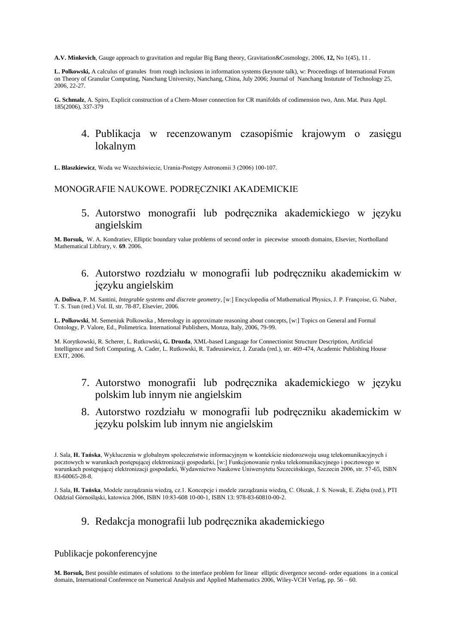**A.V. Minkevich**, Gauge approach to gravitation and regular Big Bang theory, Gravitation&Cosmology*,* 2006, **12,** No 1(45), 11 .

**L. Polkowski,** A calculus of granules from rough inclusions in information systems (keynote talk), w: Proceedings of International Forum on Theory of Granular Computing, Nanchang University, Nanchang, China, July 2006; Journal of Nanchang Instutute of Technology 25, 2006, 22-27.

**G. Schmalz**, A. Spiro, Explicit construction of a Chern-Moser connection for CR manifolds of codimension two*,* Ann. Mat. Pura Appl. 185(2006), 337-379

### 4. Publikacja w recenzowanym czasopiśmie krajowym o zasięgu lokalnym

**L. Blaszkiewicz**, Woda we Wszechświecie, Urania-Postępy Astronomii 3 (2006) 100-107.

#### MONOGRAFIE NAUKOWE. PODRĘCZNIKI AKADEMICKIE

5. Autorstwo monografii lub podręcznika akademickiego w języku angielskim

**M. Borsuk,** W. A. Kondratiev, Elliptic boundary value problems of second order in piecewise smooth domains, Elsevier, Northolland Mathematical Libfrary, v. **69**. 2006.

## 6. Autorstwo rozdziału w monografii lub podręczniku akademickim w języku angielskim

**A. Doliwa**, P. M. Santini, *Integrable systems and discrete geometry*, [w:] Encyclopedia of Mathematical Physics, J. P. Françoise, G. Naber, T. S. Tsun (red.) Vol. II, str. 78-87, Elsevier, 2006.

**L. Polkowski**, M. Semeniuk Polkowska , Mereology in approximate reasoning about concepts, [w:] Topics on General and Formal Ontology, P. Valore, Ed., Polimetrica. International Publishers, Monza, Italy, 2006, 79-99.

M. Korytkowski, R. Scherer, L. Rutkowski**, G. Drozda**, XML-based Language for Connectionist Structure Description, Artificial Intelligence and Soft Computing, A. Cader, L. Rutkowski, R. Tadeusiewicz, J. Zurada (red.), str. 469-474, Academic Publishing House EXIT, 2006.

- 7. Autorstwo monografii lub podręcznika akademickiego w języku polskim lub innym nie angielskim
- 8. Autorstwo rozdziału w monografii lub podręczniku akademickim w języku polskim lub innym nie angielskim

J. Sala, **H. Tańska**, Modele zarządzania wiedzą, cz.1. Koncepcje i modele zarządzania wiedzą, C. Olszak, J. S. Nowak, E. Zięba (red.), PTI Oddzial Górnośląski, katowica 2006, ISBN 10:83-608 10-00-1, ISBN 13: 978-83-60810-00-2.

## 9. Redakcja monografii lub podręcznika akademickiego

#### Publikacje pokonferencyjne

**M. Borsuk,** Best possible estimates of solutions to the interface problem for linear elliptic divergence second- order equations in a conical domain, International Conference on Numerical Analysis and Applied Mathematics 2006, Wiley-VCH Verlag, pp. 56 – 60.

J. Sala, **H. Tańska**, Wykluczenia w globalnym spoleczeństwie informacyjnym w kontekście niedorozwoju usug telekomunikacyjnych i pocztowych w warunkach postępującej elektronizacji gospodarki, [w:] Funkcjonowanie rynku telekomunikacyjnego i pocztowego w warunkach postępującej elektronizacji gospodarki, Wydawnictwo Naukowe Uniwersytetu Szczecińskiego, Szczecin 2006, str. 57-65, ISBN 83-60065-28-8.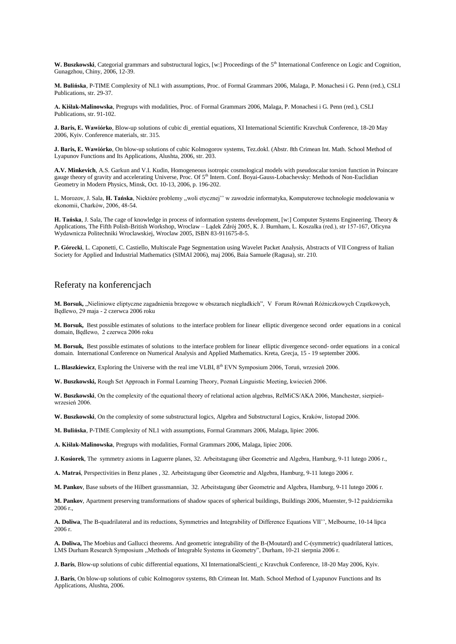**W. Buszkowski**, Categorial grammars and substructural logics, [w:] Proceedings of the 5<sup>th</sup> International Conference on Logic and Cognition, Gunagzhou, Chiny, 2006, 12-39.

**M. Bulińska**, P-TIME Complexity of NL1 with assumptions, Proc. of Formal Grammars 2006, Malaga, P. Monachesi i G. Penn (red.), CSLI Publications, str. 29-37.

**A. Kiślak-Malinowska**, Pregrups with modalities, Proc. of Formal Grammars 2006, Malaga, P. Monachesi i G. Penn (red.), CSLI Publications, str. 91-102.

**J. Baris, E. Wawiórko**, Blow-up solutions of cubic di\_erential equations, XI International Scientific Kravchuk Conference, 18-20 May 2006, Kyiv. Conference materials, str. 315.

**J. Baris, E. Wawiórko**, On blow-up solutions of cubic Kolmogorov systems, Tez.dokl. (Abstr. 8th Crimean Int. Math. School Method of Lyapunov Functions and Its Applications, Alushta, 2006, str. 203.

**A.V. Minkevich**, A.S. Garkun and V.I. Kudin, Homogeneous isotropic cosmological models with pseudoscalar torsion function in Poincare gauge theory of gravity and accelerating Universe, Proc. Of 5<sup>th</sup> Intern. Conf. Boyai-Gauss-Lobachevsky: Methods of Non-Euclidian Geometry in Modern Physics, Minsk, Oct. 10-13, 2006, p. 196-202.

L. Morozov, J. Sala, **H. Tańska**, Niektóre problemy ,,woli etycznej'' w zawodzie informatyka, Komputerowe technologie modelowania w ekonomii, Charków, 2006, 48-54.

**H. Tańska**, J. Sala, The cage of knowledge in process of information systems development, [w:] Computer Systems Engineering. Theory & Applications, The Fifth Polish-British Workshop, Wroclaw – Lądek Zdrój 2005, K. J. Burnham, L. Koszalka (red.), str 157-167, Oficyna Wydawnicza Politechniki Wroclawskiej, Wroclaw 2005, ISBN 83-911675-8-5.

**P. Górecki**, L. Caponetti, C. Castiello, Multiscale Page Segmentation using Wavelet Packet Analysis, Abstracts of VII Congress of Italian Society for Applied and Industrial Mathematics (SIMAI 2006), maj 2006, Baia Samuele (Ragusa), str. 210.

#### Referaty na konferencjach

**M. Borsuk,** "Nieliniowe eliptyczne zagadnienia brzegowe w obszarach niegładkich", V Forum Równań Różniczkowych Cząstkowych, Będlewo, 29 maja - 2 czerwca 2006 roku

**M. Borsuk,** Best possible estimates of solutions to the interface problem for linear elliptic divergence second order equations in a conical domain*,* Będlewo, 2 czerwca 2006 roku

**M. Borsuk,** Best possible estimates of solutions to the interface problem for linear elliptic divergence second- order equations in a conical domain*.* International Conference on Numerical Analysis and Applied Mathematics. Kreta, Grecja, 15 - 19 september 2006.

L. Blaszkiewicz, Exploring the Universe with the real ime VLBI, 8<sup>th</sup> EVN Symposium 2006, Toruń, wrzesień 2006.

**W. Buszkowski,** Rough Set Approach in Formal Learning Theory, Poznań Linguistic Meeting, kwiecień 2006.

**W. Buszkowski**, On the complexity of the equational theory of relational action algebras, RelMiCS/AKA 2006, Manchester, sierpieńwrzesień 2006.

**W. Buszkowski**, On the complexity of some substructural logics, Algebra and Substructural Logics, Kraków, listopad 2006.

**M. Bulińska**, P-TIME Complexity of NL1 with assumptions, Formal Grammars 2006, Malaga, lipiec 2006.

**A. Kiślak-Malinowska**, Pregrups with modalities, Formal Grammars 2006, Malaga, lipiec 2006.

**J. Kosiorek**, The symmetry axioms in Laguerre planes, 32. Arbeitstagung über Geometrie and Algebra, Hamburg, 9-11 lutego 2006 r.,

**A. Matraś**, Perspectivities in Benz planes , 32. Arbeitstagung über Geometrie and Algebra, Hamburg, 9-11 lutego 2006 r.

**M. Pankov**, Base subsets of the Hilbert grassmannian, 32. Arbeitstagung über Geometrie and Algebra, Hamburg, 9-11 lutego 2006 r.

**M. Pankov**, Apartment preserving transformations of shadow spaces of spherical buildings*,* Buildings 2006, Muenster, 9-12 października 2006 r.,

**A. Doliwa**, The B-quadrilateral and its reductions, Symmetries and Integrability of Difference Equations VII'', Melbourne, 10-14 lipca 2006 r.

**A. Doliwa,** The Moebius and Gallucci theorems. And geometric integrability of the B-(Moutard) and C-(symmetric) quadrilateral lattices, LMS Durham Research Symposium ,,Methods of Integrable Systems in Geometry", Durham, 10-21 sierpnia 2006 r.

**J. Baris**, Blow-up solutions of cubic differential equations, XI InternationalScienti\_c Kravchuk Conference, 18-20 May 2006, Kyiv.

**J. Baris**, On blow-up solutions of cubic Kolmogorov systems, 8th Crimean Int. Math. School Method of Lyapunov Functions and Its Applications, Alushta, 2006.